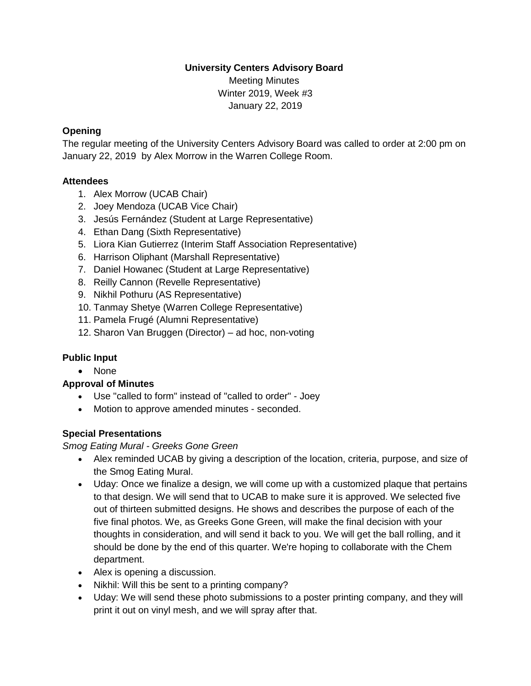#### **University Centers Advisory Board**

Meeting Minutes Winter 2019, Week #3 January 22, 2019

#### **Opening**

The regular meeting of the University Centers Advisory Board was called to order at 2:00 pm on January 22, 2019 by Alex Morrow in the Warren College Room.

#### **Attendees**

- 1. Alex Morrow (UCAB Chair)
- 2. Joey Mendoza (UCAB Vice Chair)
- 3. Jesús Fernández (Student at Large Representative)
- 4. Ethan Dang (Sixth Representative)
- 5. Liora Kian Gutierrez (Interim Staff Association Representative)
- 6. Harrison Oliphant (Marshall Representative)
- 7. Daniel Howanec (Student at Large Representative)
- 8. Reilly Cannon (Revelle Representative)
- 9. Nikhil Pothuru (AS Representative)
- 10. Tanmay Shetye (Warren College Representative)
- 11. Pamela Frugé (Alumni Representative)
- 12. Sharon Van Bruggen (Director) ad hoc, non-voting

#### **Public Input**

• None

#### **Approval of Minutes**

- Use "called to form" instead of "called to order" Joey
- Motion to approve amended minutes seconded.

#### **Special Presentations**

*Smog Eating Mural - Greeks Gone Green*

- Alex reminded UCAB by giving a description of the location, criteria, purpose, and size of the Smog Eating Mural.
- Uday: Once we finalize a design, we will come up with a customized plaque that pertains to that design. We will send that to UCAB to make sure it is approved. We selected five out of thirteen submitted designs. He shows and describes the purpose of each of the five final photos. We, as Greeks Gone Green, will make the final decision with your thoughts in consideration, and will send it back to you. We will get the ball rolling, and it should be done by the end of this quarter. We're hoping to collaborate with the Chem department.
- Alex is opening a discussion.
- Nikhil: Will this be sent to a printing company?
- Uday: We will send these photo submissions to a poster printing company, and they will print it out on vinyl mesh, and we will spray after that.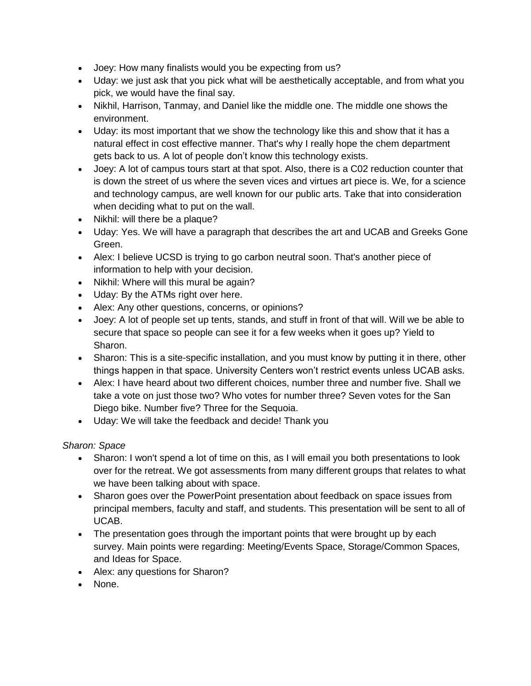- Joey: How many finalists would you be expecting from us?
- Uday: we just ask that you pick what will be aesthetically acceptable, and from what you pick, we would have the final say.
- Nikhil, Harrison, Tanmay, and Daniel like the middle one. The middle one shows the environment.
- Uday: its most important that we show the technology like this and show that it has a natural effect in cost effective manner. That's why I really hope the chem department gets back to us. A lot of people don't know this technology exists.
- Joey: A lot of campus tours start at that spot. Also, there is a C02 reduction counter that is down the street of us where the seven vices and virtues art piece is. We, for a science and technology campus, are well known for our public arts. Take that into consideration when deciding what to put on the wall.
- Nikhil: will there be a plaque?
- Uday: Yes. We will have a paragraph that describes the art and UCAB and Greeks Gone Green.
- Alex: I believe UCSD is trying to go carbon neutral soon. That's another piece of information to help with your decision.
- Nikhil: Where will this mural be again?
- Uday: By the ATMs right over here.
- Alex: Any other questions, concerns, or opinions?
- Joey: A lot of people set up tents, stands, and stuff in front of that will. Will we be able to secure that space so people can see it for a few weeks when it goes up? Yield to Sharon.
- Sharon: This is a site-specific installation, and you must know by putting it in there, other things happen in that space. University Centers won't restrict events unless UCAB asks.
- Alex: I have heard about two different choices, number three and number five. Shall we take a vote on just those two? Who votes for number three? Seven votes for the San Diego bike. Number five? Three for the Sequoia.
- Uday: We will take the feedback and decide! Thank you

## *Sharon: Space*

- Sharon: I won't spend a lot of time on this, as I will email you both presentations to look over for the retreat. We got assessments from many different groups that relates to what we have been talking about with space.
- Sharon goes over the PowerPoint presentation about feedback on space issues from principal members, faculty and staff, and students. This presentation will be sent to all of UCAB.
- The presentation goes through the important points that were brought up by each survey. Main points were regarding: Meeting/Events Space, Storage/Common Spaces, and Ideas for Space.
- Alex: any questions for Sharon?
- None.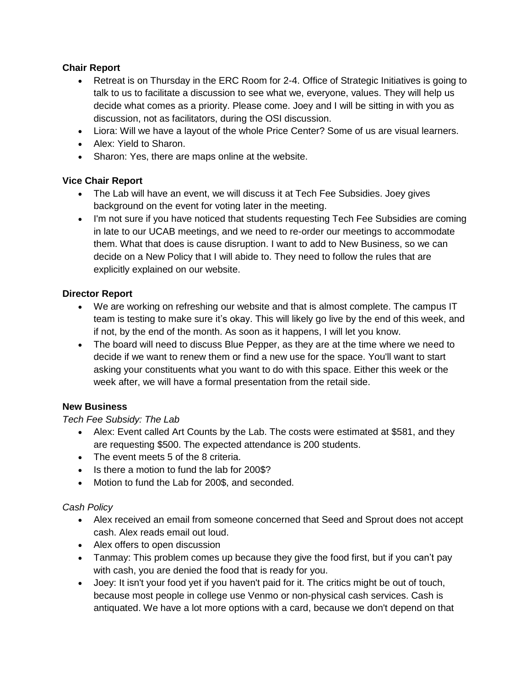## **Chair Report**

- Retreat is on Thursday in the ERC Room for 2-4. Office of Strategic Initiatives is going to talk to us to facilitate a discussion to see what we, everyone, values. They will help us decide what comes as a priority. Please come. Joey and I will be sitting in with you as discussion, not as facilitators, during the OSI discussion.
- Liora: Will we have a layout of the whole Price Center? Some of us are visual learners.
- Alex: Yield to Sharon.
- Sharon: Yes, there are maps online at the website.

## **Vice Chair Report**

- The Lab will have an event, we will discuss it at Tech Fee Subsidies. Joey gives background on the event for voting later in the meeting.
- I'm not sure if you have noticed that students requesting Tech Fee Subsidies are coming in late to our UCAB meetings, and we need to re-order our meetings to accommodate them. What that does is cause disruption. I want to add to New Business, so we can decide on a New Policy that I will abide to. They need to follow the rules that are explicitly explained on our website.

## **Director Report**

- We are working on refreshing our website and that is almost complete. The campus IT team is testing to make sure it's okay. This will likely go live by the end of this week, and if not, by the end of the month. As soon as it happens, I will let you know.
- The board will need to discuss Blue Pepper, as they are at the time where we need to decide if we want to renew them or find a new use for the space. You'll want to start asking your constituents what you want to do with this space. Either this week or the week after, we will have a formal presentation from the retail side.

## **New Business**

## *Tech Fee Subsidy: The Lab*

- Alex: Event called Art Counts by the Lab. The costs were estimated at \$581, and they are requesting \$500. The expected attendance is 200 students.
- The event meets 5 of the 8 criteria.
- Is there a motion to fund the lab for 200\$?
- Motion to fund the Lab for 200\$, and seconded.

## *Cash Policy*

- Alex received an email from someone concerned that Seed and Sprout does not accept cash. Alex reads email out loud.
- Alex offers to open discussion
- Tanmay: This problem comes up because they give the food first, but if you can't pay with cash, you are denied the food that is ready for you.
- Joey: It isn't your food yet if you haven't paid for it. The critics might be out of touch, because most people in college use Venmo or non-physical cash services. Cash is antiquated. We have a lot more options with a card, because we don't depend on that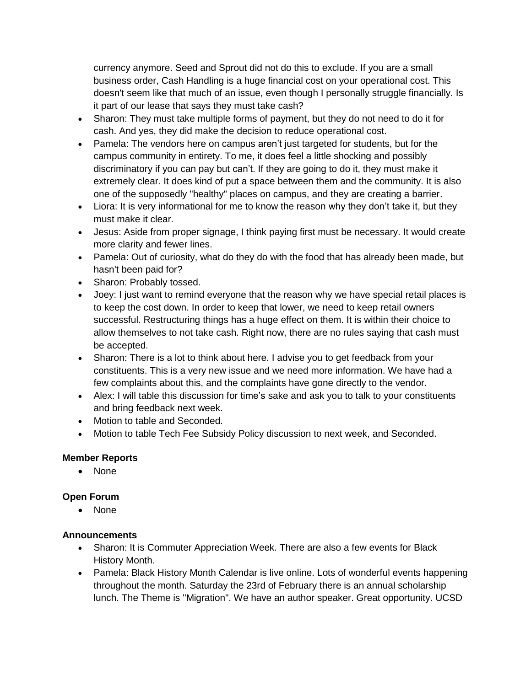currency anymore. Seed and Sprout did not do this to exclude. If you are a small business order, Cash Handling is a huge financial cost on your operational cost. This doesn't seem like that much of an issue, even though I personally struggle financially. Is it part of our lease that says they must take cash?

- Sharon: They must take multiple forms of payment, but they do not need to do it for cash. And yes, they did make the decision to reduce operational cost.
- Pamela: The vendors here on campus aren't just targeted for students, but for the campus community in entirety. To me, it does feel a little shocking and possibly discriminatory if you can pay but can't. If they are going to do it, they must make it extremely clear. It does kind of put a space between them and the community. It is also one of the supposedly "healthy" places on campus, and they are creating a barrier.
- Liora: It is very informational for me to know the reason why they don't take it, but they must make it clear.
- Jesus: Aside from proper signage, I think paying first must be necessary. It would create more clarity and fewer lines.
- Pamela: Out of curiosity, what do they do with the food that has already been made, but hasn't been paid for?
- Sharon: Probably tossed.
- Joey: I just want to remind everyone that the reason why we have special retail places is to keep the cost down. In order to keep that lower, we need to keep retail owners successful. Restructuring things has a huge effect on them. It is within their choice to allow themselves to not take cash. Right now, there are no rules saying that cash must be accepted.
- Sharon: There is a lot to think about here. I advise you to get feedback from your constituents. This is a very new issue and we need more information. We have had a few complaints about this, and the complaints have gone directly to the vendor.
- Alex: I will table this discussion for time's sake and ask you to talk to your constituents and bring feedback next week.
- Motion to table and Seconded.
- Motion to table Tech Fee Subsidy Policy discussion to next week, and Seconded.

## **Member Reports**

• None

## **Open Forum**

• None

## **Announcements**

- Sharon: It is Commuter Appreciation Week. There are also a few events for Black History Month.
- Pamela: Black History Month Calendar is live online. Lots of wonderful events happening throughout the month. Saturday the 23rd of February there is an annual scholarship lunch. The Theme is "Migration". We have an author speaker. Great opportunity. UCSD